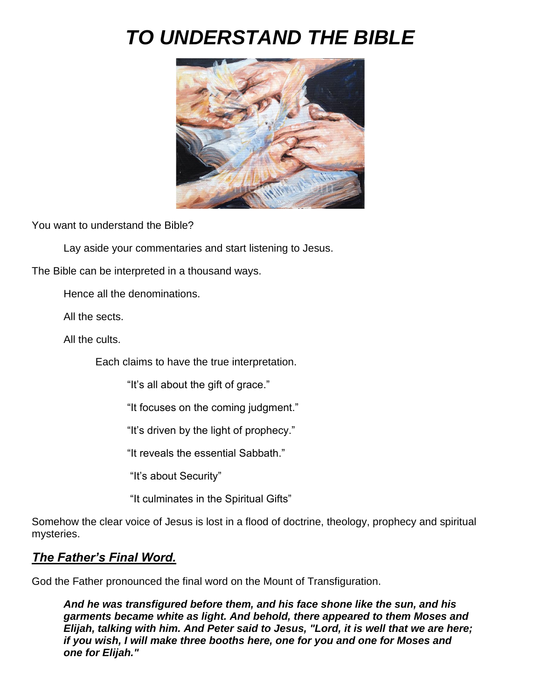# *TO UNDERSTAND THE BIBLE*



You want to understand the Bible?

Lay aside your commentaries and start listening to Jesus.

The Bible can be interpreted in a thousand ways.

Hence all the denominations.

All the sects.

All the cults.

Each claims to have the true interpretation.

"It's all about the gift of grace."

"It focuses on the coming judgment."

"It's driven by the light of prophecy."

"It reveals the essential Sabbath."

"It's about Security"

"It culminates in the Spiritual Gifts"

Somehow the clear voice of Jesus is lost in a flood of doctrine, theology, prophecy and spiritual mysteries.

# *The Father's Final Word.*

God the Father pronounced the final word on the Mount of Transfiguration.

*And he was transfigured before them, and his face shone like the sun, and his garments became white as light. And behold, there appeared to them Moses and Elijah, talking with him. And Peter said to Jesus, "Lord, it is well that we are here; if you wish, I will make three booths here, one for you and one for Moses and one for Elijah."*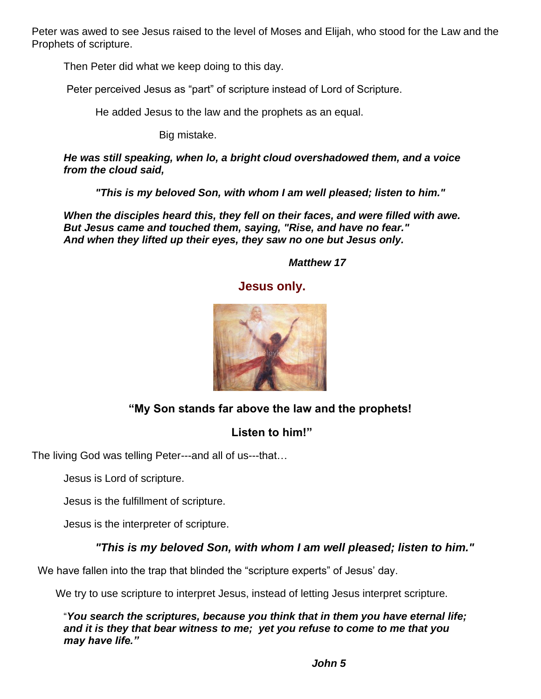Peter was awed to see Jesus raised to the level of Moses and Elijah, who stood for the Law and the Prophets of scripture.

Then Peter did what we keep doing to this day.

Peter perceived Jesus as "part" of scripture instead of Lord of Scripture.

He added Jesus to the law and the prophets as an equal.

Big mistake.

*He was still speaking, when lo, a bright cloud overshadowed them, and a voice from the cloud said,*

*"This is my beloved Son, with whom I am well pleased; listen to him."*

*When the disciples heard this, they fell on their faces, and were filled with awe. But Jesus came and touched them, saying, "Rise, and have no fear." And when they lifted up their eyes, they saw no one but Jesus only.*

 *Matthew 17*

# **Jesus only.**



# **"My Son stands far above the law and the prophets!**

# **Listen to him!"**

The living God was telling Peter---and all of us---that…

Jesus is Lord of scripture.

Jesus is the fulfillment of scripture.

Jesus is the interpreter of scripture.

# *"This is my beloved Son, with whom I am well pleased; listen to him."*

We have fallen into the trap that blinded the "scripture experts" of Jesus' day.

We try to use scripture to interpret Jesus, instead of letting Jesus interpret scripture.

"*You search the scriptures, because you think that in them you have eternal life; and it is they that bear witness to me; yet you refuse to come to me that you may have life."*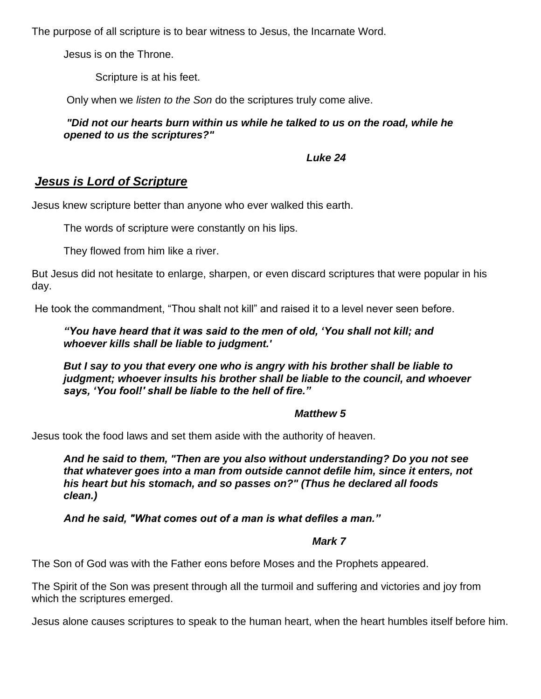The purpose of all scripture is to bear witness to Jesus, the Incarnate Word.

Jesus is on the Throne.

Scripture is at his feet.

Only when we *listen to the Son* do the scriptures truly come alive.

*"Did not our hearts burn within us while he talked to us on the road, while he opened to us the scriptures?"*

#### *Luke 24*

# *Jesus is Lord of Scripture*

Jesus knew scripture better than anyone who ever walked this earth.

The words of scripture were constantly on his lips.

They flowed from him like a river.

But Jesus did not hesitate to enlarge, sharpen, or even discard scriptures that were popular in his day.

He took the commandment, "Thou shalt not kill" and raised it to a level never seen before.

#### *"You have heard that it was said to the men of old, 'You shall not kill; and whoever kills shall be liable to judgment.'*

*But I say to you that every one who is angry with his brother shall be liable to judgment; whoever insults his brother shall be liable to the council, and whoever says, 'You fool!' shall be liable to the hell of fire."*

#### *Matthew 5*

Jesus took the food laws and set them aside with the authority of heaven.

*And he said to them, "Then are you also without understanding? Do you not see that whatever goes into a man from outside cannot defile him, since it enters, not his heart but his stomach, and so passes on?" (Thus he declared all foods clean.)*

*And he said, "What comes out of a man is what defiles a man."*

## *Mark 7*

The Son of God was with the Father eons before Moses and the Prophets appeared.

The Spirit of the Son was present through all the turmoil and suffering and victories and joy from which the scriptures emerged.

Jesus alone causes scriptures to speak to the human heart, when the heart humbles itself before him.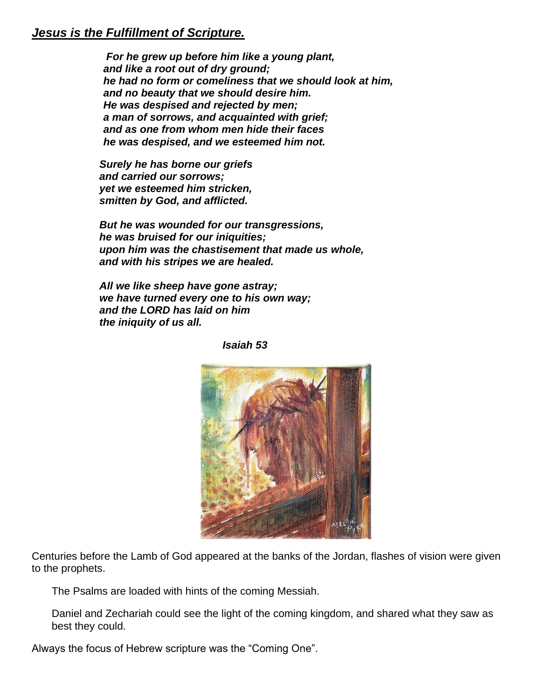# *Jesus is the Fulfillment of Scripture.*

*For he grew up before him like a young plant, and like a root out of dry ground; he had no form or comeliness that we should look at him, and no beauty that we should desire him. He was despised and rejected by men; a man of sorrows, and acquainted with grief; and as one from whom men hide their faces he was despised, and we esteemed him not.*

*Surely he has borne our griefs and carried our sorrows; yet we esteemed him stricken, smitten by God, and afflicted.*

*But he was wounded for our transgressions, he was bruised for our iniquities; upon him was the chastisement that made us whole, and with his stripes we are healed.*

*All we like sheep have gone astray; we have turned every one to his own way; and the LORD has laid on him the iniquity of us all.*



 *Isaiah 53*

Centuries before the Lamb of God appeared at the banks of the Jordan, flashes of vision were given to the prophets.

The Psalms are loaded with hints of the coming Messiah.

Daniel and Zechariah could see the light of the coming kingdom, and shared what they saw as best they could.

Always the focus of Hebrew scripture was the "Coming One".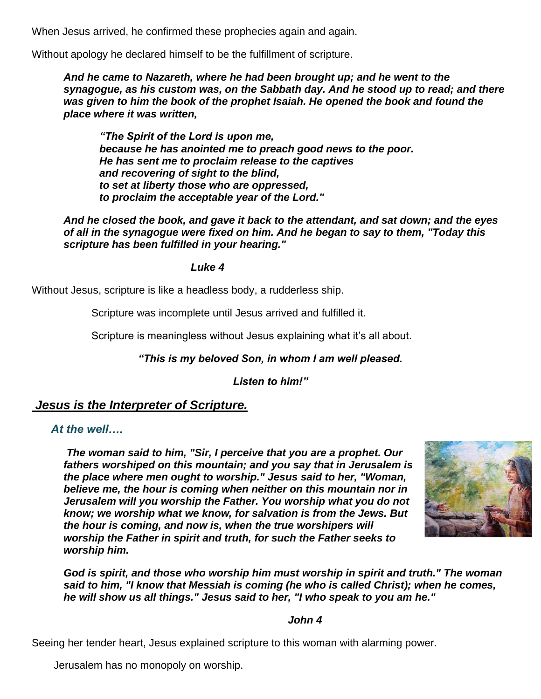When Jesus arrived, he confirmed these prophecies again and again.

Without apology he declared himself to be the fulfillment of scripture.

*And he came to Nazareth, where he had been brought up; and he went to the synagogue, as his custom was, on the Sabbath day. And he stood up to read; and there was given to him the book of the prophet Isaiah. He opened the book and found the place where it was written,*

*"The Spirit of the Lord is upon me, because he has anointed me to preach good news to the poor. He has sent me to proclaim release to the captives and recovering of sight to the blind, to set at liberty those who are oppressed, to proclaim the acceptable year of the Lord."*

*And he closed the book, and gave it back to the attendant, and sat down; and the eyes of all in the synagogue were fixed on him. And he began to say to them, "Today this scripture has been fulfilled in your hearing."*

 *Luke 4*

Without Jesus, scripture is like a headless body, a rudderless ship.

Scripture was incomplete until Jesus arrived and fulfilled it.

Scripture is meaningless without Jesus explaining what it's all about.

*"This is my beloved Son, in whom I am well pleased.*

*Listen to him!"*

# *Jesus is the Interpreter of Scripture.*

*At the well….*

*The woman said to him, "Sir, I perceive that you are a prophet. Our fathers worshiped on this mountain; and you say that in Jerusalem is the place where men ought to worship." Jesus said to her, "Woman, believe me, the hour is coming when neither on this mountain nor in Jerusalem will you worship the Father. You worship what you do not know; we worship what we know, for salvation is from the Jews. But the hour is coming, and now is, when the true worshipers will worship the Father in spirit and truth, for such the Father seeks to worship him.*



*God is spirit, and those who worship him must worship in spirit and truth." The woman said to him, "I know that Messiah is coming (he who is called Christ); when he comes, he will show us all things." Jesus said to her, "I who speak to you am he."*

#### *John 4*

Seeing her tender heart, Jesus explained scripture to this woman with alarming power.

Jerusalem has no monopoly on worship.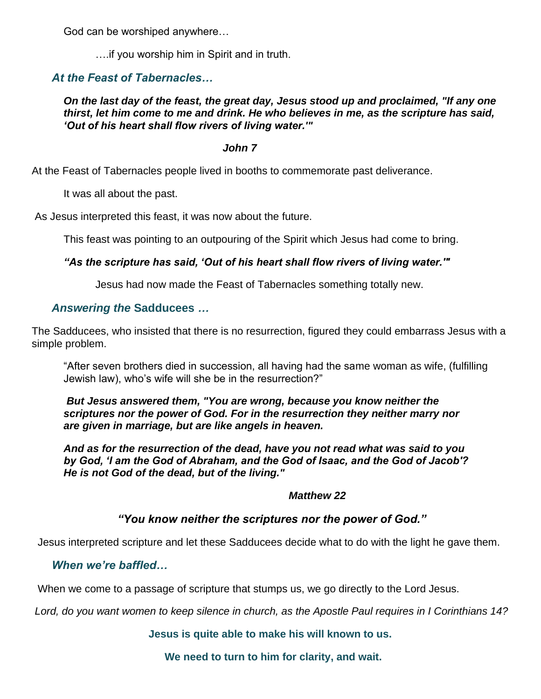God can be worshiped anywhere…

….if you worship him in Spirit and in truth.

# *At the Feast of Tabernacles…*

*On the last day of the feast, the great day, Jesus stood up and proclaimed, "If any one thirst, let him come to me and drink. He who believes in me, as the scripture has said, 'Out of his heart shall flow rivers of living water.'"*

#### *John 7*

At the Feast of Tabernacles people lived in booths to commemorate past deliverance.

It was all about the past.

As Jesus interpreted this feast, it was now about the future.

This feast was pointing to an outpouring of the Spirit which Jesus had come to bring.

#### *"As the scripture has said, 'Out of his heart shall flow rivers of living water.'"*

Jesus had now made the Feast of Tabernacles something totally new.

# *Answering the* **Sadducees** *…*

The Sadducees, who insisted that there is no resurrection, figured they could embarrass Jesus with a simple problem.

"After seven brothers died in succession, all having had the same woman as wife, (fulfilling Jewish law), who's wife will she be in the resurrection?"

*But Jesus answered them, "You are wrong, because you know neither the scriptures nor the power of God. For in the resurrection they neither marry nor are given in marriage, but are like angels in heaven.*

*And as for the resurrection of the dead, have you not read what was said to you by God, 'I am the God of Abraham, and the God of Isaac, and the God of Jacob'? He is not God of the dead, but of the living."*

#### *Matthew 22*

# *"You know neither the scriptures nor the power of God."*

Jesus interpreted scripture and let these Sadducees decide what to do with the light he gave them.

## *When we're baffled…*

When we come to a passage of scripture that stumps us, we go directly to the Lord Jesus.

*Lord, do you want women to keep silence in church, as the Apostle Paul requires in I Corinthians 14?*

## **Jesus is quite able to make his will known to us.**

 **We need to turn to him for clarity, and wait.**